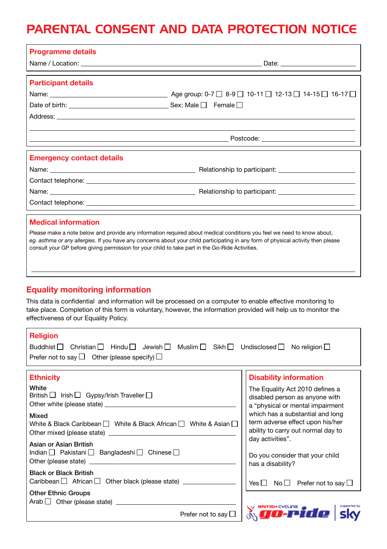## PARENTAL CONSENT AND DATA PROTECTION NOTICE

| <b>Programme details</b>                                                                                                      |                                                                                                                                                                                                                                                             |
|-------------------------------------------------------------------------------------------------------------------------------|-------------------------------------------------------------------------------------------------------------------------------------------------------------------------------------------------------------------------------------------------------------|
| <b>Participant details</b>                                                                                                    |                                                                                                                                                                                                                                                             |
|                                                                                                                               |                                                                                                                                                                                                                                                             |
| <b>Emergency contact details</b>                                                                                              | Contact telephone: <u>with a series of the control of the control of the control of the control of the control of</u>                                                                                                                                       |
| <b>Medical information</b><br>consult your GP before giving permission for your child to take part in the Go-Ride Activities. | Please make a note below and provide any information required about medical conditions you feel we need to know about,<br>eg. asthma or any allergies. If you have any concerns about your child participating in any form of physical activity then please |
| <b>Equality monitoring information</b>                                                                                        | This data is confidential and information will be processed on a computer to enable effective monitoring to<br>take place. Completion of this form is voluntary, however, the information provided will help us to monitor the                              |

|  |  |  |  |  | effectiveness of our Equality Policy. |  |
|--|--|--|--|--|---------------------------------------|--|

| <b>Religion</b><br>Buddhist □<br>Christian $\Box$ Hindu $\Box$<br>Jewish $\Box$ Muslim $\Box$ Sikh $\Box$ Undisclosed $\Box$ No religion $\Box$<br>Prefer not to say $\Box$ Other (please specify) $\Box$                                                                                     |                                                                                                                                                                                                                                                                                                                                  |
|-----------------------------------------------------------------------------------------------------------------------------------------------------------------------------------------------------------------------------------------------------------------------------------------------|----------------------------------------------------------------------------------------------------------------------------------------------------------------------------------------------------------------------------------------------------------------------------------------------------------------------------------|
| <b>Ethnicity</b><br>White<br>British $\Box$ Irish $\Box$ Gypsy/Irish Traveller $\Box$<br>Mixed<br>White & Black Caribbean $\Box$ White & Black African $\Box$ White & Asian $\Box$<br>Asian or Asian British<br>Indian   Pakistani   Bangladeshi   Chinese  <br><b>Black or Black British</b> | <b>Disability information</b><br>The Equality Act 2010 defines a<br>disabled person as anyone with<br>a "physical or mental impairment<br>which has a substantial and long<br>term adverse effect upon his/her<br>ability to carry out normal day to<br>day activities".<br>Do you consider that your child<br>has a disability? |
| <b>Other Ethnic Groups</b><br>$Arab$ $\Box$ Other (please state) $\Box$<br>Prefer not to say $\mathsf{\mathsf{L}}$                                                                                                                                                                            | Yes $\Box$ No $\Box$ Prefer not to say $\Box$<br>./ BRITISH CYCL                                                                                                                                                                                                                                                                 |